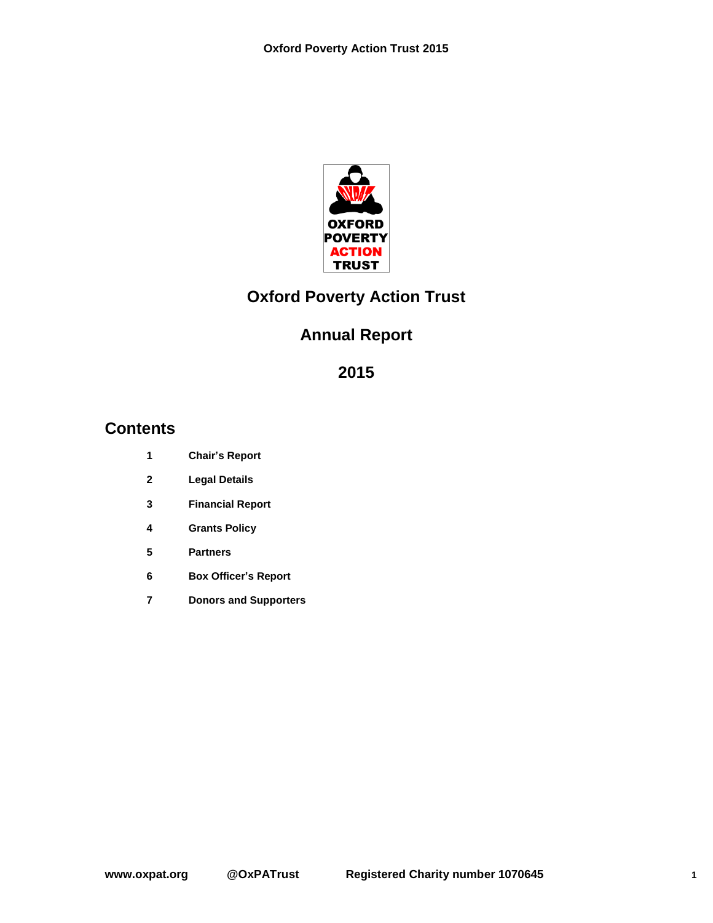

# **Oxford Poverty Action Trust**

# **Annual Report**

# **Contents**

- **Chair's Report**
- **Legal Details**
- **Financial Report**
- **Grants Policy**
- **Partners**
- **Box Officer's Report**
- **Donors and Supporters**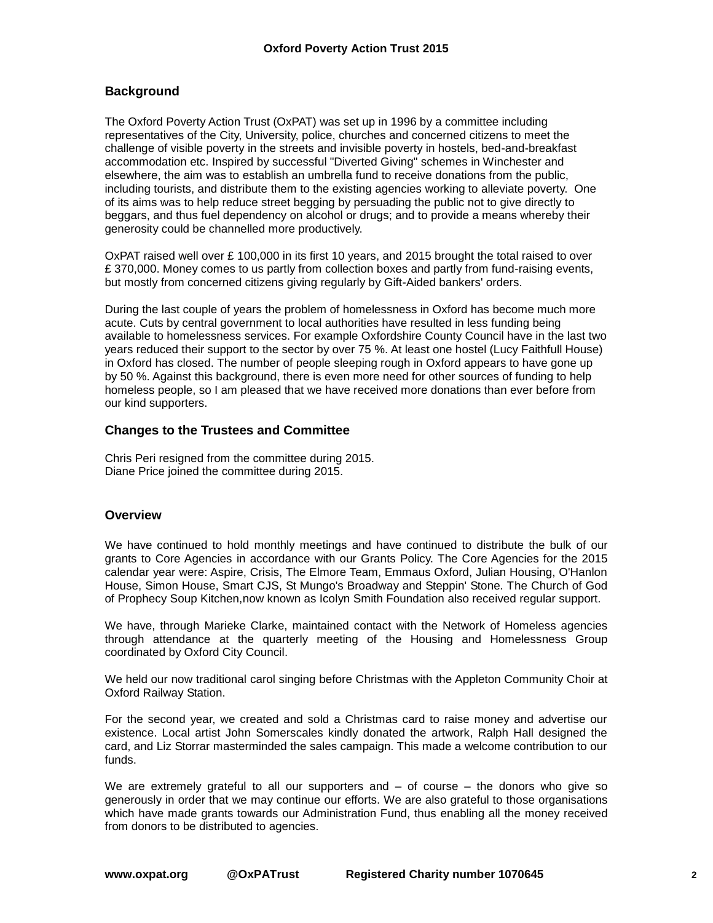## **Background**

The Oxford Poverty Action Trust (OxPAT) was set up in 1996 by a committee including representatives of the City, University, police, churches and concerned citizens to meet the challenge of visible poverty in the streets and invisible poverty in hostels, bed-and-breakfast accommodation etc. Inspired by successful "Diverted Giving" schemes in Winchester and elsewhere, the aim was to establish an umbrella fund to receive donations from the public, including tourists, and distribute them to the existing agencies working to alleviate poverty. One of its aims was to help reduce street begging by persuading the public not to give directly to beggars, and thus fuel dependency on alcohol or drugs; and to provide a means whereby their generosity could be channelled more productively.

OxPAT raised well over  $\pounds$  100,000 in its first 10 years, and 2015 brought the total raised to over £ 370,000. Money comes to us partly from collection boxes and partly from fund-raising events, but mostly from concerned citizens giving regularly by Gift-Aided bankers' orders.

During the last couple of years the problem of homelessness in Oxford has become much more acute. Cuts by central government to local authorities have resulted in less funding being available to homelessness services. For example Oxfordshire County Council have in the last two years reduced their support to the sector by over 75 %. At least one hostel (Lucy Faithfull House) in Oxford has closed. The number of people sleeping rough in Oxford appears to have gone up by 50 %. Against this background, there is even more need for other sources of funding to help homeless people, so I am pleased that we have received more donations than ever before from our kind supporters.

#### **Changes to the Trustees and Committee**

Chris Peri resigned from the committee during 2015. Diane Price joined the committee during 2015.

#### **Overview**

We have continued to hold monthly meetings and have continued to distribute the bulk of our grants to Core Agencies in accordance with our Grants Policy. The Core Agencies for the 2015 calendar year were: Aspire, Crisis, The Elmore Team, Emmaus Oxford, Julian Housing, O'Hanlon House, Simon House, Smart CJS, St Mungo's Broadway and Steppin' Stone. The Church of God of Prophecy Soup Kitchen,now known as Icolyn Smith Foundation also received regular support.

We have, through Marieke Clarke, maintained contact with the Network of Homeless agencies through attendance at the quarterly meeting of the Housing and Homelessness Group coordinated by Oxford City Council.

We held our now traditional carol singing before Christmas with the Appleton Community Choir at Oxford Railway Station.

For the second year, we created and sold a Christmas card to raise money and advertise our existence. Local artist John Somerscales kindly donated the artwork, Ralph Hall designed the card, and Liz Storrar masterminded the sales campaign. This made a welcome contribution to our funds.

We are extremely grateful to all our supporters and  $-$  of course  $-$  the donors who give so generously in order that we may continue our efforts. We are also grateful to those organisations which have made grants towards our Administration Fund, thus enabling all the money received from donors to be distributed to agencies.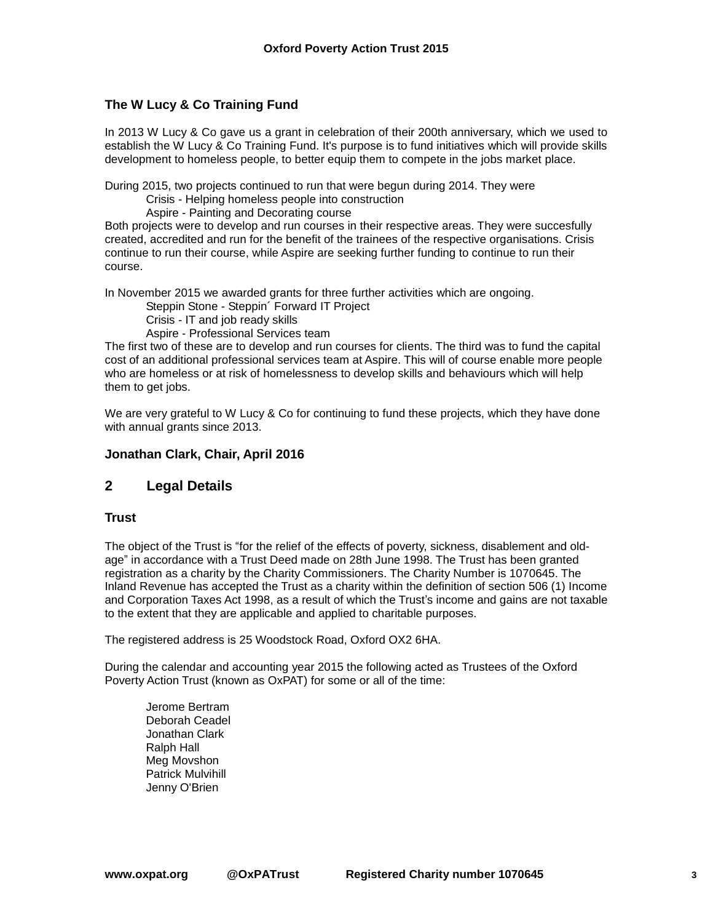## **The W Lucy & Co Training Fund**

In 2013 W Lucy & Co gave us a grant in celebration of their 200th anniversary, which we used to establish the W Lucy & Co Training Fund. It's purpose is to fund initiatives which will provide skills development to homeless people, to better equip them to compete in the jobs market place.

During 2015, two projects continued to run that were begun during 2014. They were

Crisis - Helping homeless people into construction

Aspire - Painting and Decorating course

Both projects were to develop and run courses in their respective areas. They were succesfully created, accredited and run for the benefit of the trainees of the respective organisations. Crisis continue to run their course, while Aspire are seeking further funding to continue to run their course.

In November 2015 we awarded grants for three further activities which are ongoing.

Steppin Stone - Steppin´ Forward IT Project

Crisis - IT and job ready skills

Aspire - Professional Services team

The first two of these are to develop and run courses for clients. The third was to fund the capital cost of an additional professional services team at Aspire. This will of course enable more people who are homeless or at risk of homelessness to develop skills and behaviours which will help them to get jobs.

We are very grateful to W Lucy & Co for continuing to fund these projects, which they have done with annual grants since 2013.

### **Jonathan Clark, Chair, April 2016**

## **2 Legal Details**

#### **Trust**

The object of the Trust is "for the relief of the effects of poverty, sickness, disablement and oldage" in accordance with a Trust Deed made on 28th June 1998. The Trust has been granted registration as a charity by the Charity Commissioners. The Charity Number is 1070645. The Inland Revenue has accepted the Trust as a charity within the definition of section 506 (1) Income and Corporation Taxes Act 1998, as a result of which the Trust's income and gains are not taxable to the extent that they are applicable and applied to charitable purposes.

The registered address is 25 Woodstock Road, Oxford OX2 6HA.

During the calendar and accounting year 2015 the following acted as Trustees of the Oxford Poverty Action Trust (known as OxPAT) for some or all of the time:

Jerome Bertram Deborah Ceadel Jonathan Clark Ralph Hall Meg Movshon Patrick Mulvihill Jenny O'Brien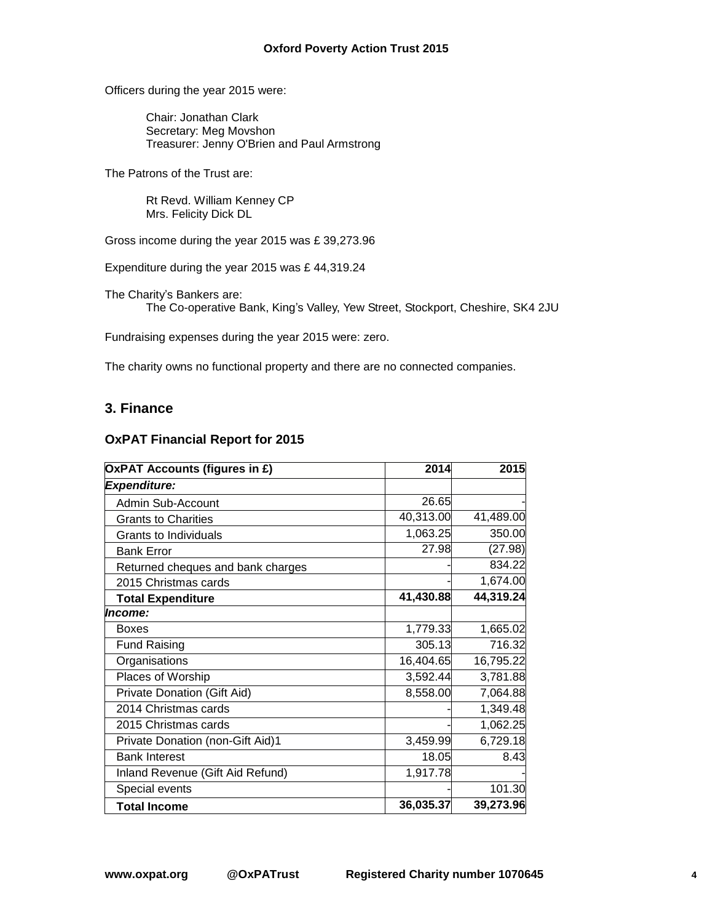Officers during the year 2015 were:

Chair: Jonathan Clark Secretary: Meg Movshon Treasurer: Jenny O'Brien and Paul Armstrong

The Patrons of the Trust are:

Rt Revd. William Kenney CP Mrs. Felicity Dick DL

Gross income during the year 2015 was £ 39,273.96

Expenditure during the year 2015 was £ 44,319.24

The Charity's Bankers are: The Co-operative Bank, King's Valley, Yew Street, Stockport, Cheshire, SK4 2JU

Fundraising expenses during the year 2015 were: zero.

The charity owns no functional property and there are no connected companies.

### **3. Finance**

#### **OxPAT Financial Report for 2015**

| <b>OxPAT Accounts (figures in £)</b> | 2014      | 2015      |
|--------------------------------------|-----------|-----------|
| <b>Expenditure:</b>                  |           |           |
| Admin Sub-Account                    | 26.65     |           |
| <b>Grants to Charities</b>           | 40,313.00 | 41,489.00 |
| <b>Grants to Individuals</b>         | 1,063.25  | 350.00    |
| <b>Bank Error</b>                    | 27.98     | (27.98)   |
| Returned cheques and bank charges    |           | 834.22    |
| 2015 Christmas cards                 |           | 1,674.00  |
| <b>Total Expenditure</b>             | 41,430.88 | 44,319.24 |
| Income:                              |           |           |
| <b>Boxes</b>                         | 1,779.33  | 1,665.02  |
| <b>Fund Raising</b>                  | 305.13    | 716.32    |
| Organisations                        | 16,404.65 | 16,795.22 |
| Places of Worship                    | 3,592.44  | 3,781.88  |
| Private Donation (Gift Aid)          | 8,558.00  | 7,064.88  |
| 2014 Christmas cards                 |           | 1,349.48  |
| 2015 Christmas cards                 |           | 1,062.25  |
| Private Donation (non-Gift Aid)1     | 3,459.99  | 6,729.18  |
| <b>Bank Interest</b>                 | 18.05     | 8.43      |
| Inland Revenue (Gift Aid Refund)     | 1,917.78  |           |
| Special events                       |           | 101.30    |
| <b>Total Income</b>                  | 36,035.37 | 39,273.96 |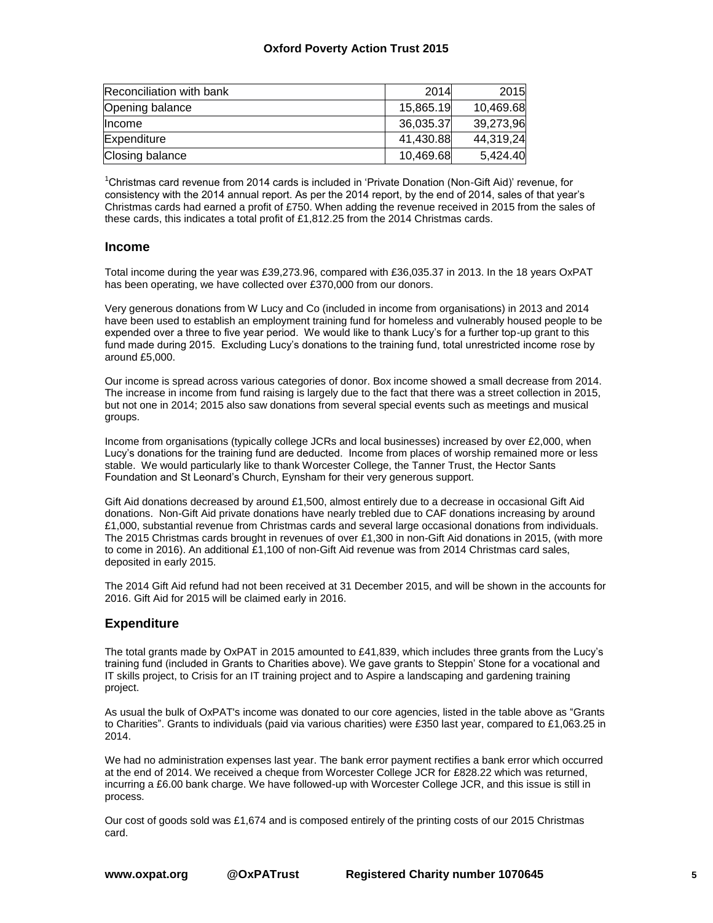#### **Oxford Poverty Action Trust 2015**

| Reconciliation with bank | 2014      | 2015      |
|--------------------------|-----------|-----------|
| Opening balance          | 15,865.19 | 10,469.68 |
| <b>Income</b>            | 36,035.37 | 39,273,96 |
| Expenditure              | 41,430.88 | 44,319,24 |
| Closing balance          | 10,469.68 | 5,424.40  |

<sup>1</sup>Christmas card revenue from 2014 cards is included in 'Private Donation (Non-Gift Aid)' revenue, for consistency with the 2014 annual report. As per the 2014 report, by the end of 2014, sales of that year's Christmas cards had earned a profit of £750. When adding the revenue received in 2015 from the sales of these cards, this indicates a total profit of £1,812.25 from the 2014 Christmas cards.

#### **Income**

Total income during the year was £39,273.96, compared with £36,035.37 in 2013. In the 18 years OxPAT has been operating, we have collected over £370,000 from our donors.

Very generous donations from W Lucy and Co (included in income from organisations) in 2013 and 2014 have been used to establish an employment training fund for homeless and vulnerably housed people to be expended over a three to five year period. We would like to thank Lucy's for a further top-up grant to this fund made during 2015. Excluding Lucy's donations to the training fund, total unrestricted income rose by around £5,000.

Our income is spread across various categories of donor. Box income showed a small decrease from 2014. The increase in income from fund raising is largely due to the fact that there was a street collection in 2015, but not one in 2014; 2015 also saw donations from several special events such as meetings and musical groups.

Income from organisations (typically college JCRs and local businesses) increased by over £2,000, when Lucy's donations for the training fund are deducted. Income from places of worship remained more or less stable. We would particularly like to thank Worcester College, the Tanner Trust, the Hector Sants Foundation and St Leonard's Church, Eynsham for their very generous support.

Gift Aid donations decreased by around £1,500, almost entirely due to a decrease in occasional Gift Aid donations. Non-Gift Aid private donations have nearly trebled due to CAF donations increasing by around £1,000, substantial revenue from Christmas cards and several large occasional donations from individuals. The 2015 Christmas cards brought in revenues of over £1,300 in non-Gift Aid donations in 2015, (with more to come in 2016). An additional £1,100 of non-Gift Aid revenue was from 2014 Christmas card sales, deposited in early 2015.

The 2014 Gift Aid refund had not been received at 31 December 2015, and will be shown in the accounts for 2016. Gift Aid for 2015 will be claimed early in 2016.

#### **Expenditure**

The total grants made by OxPAT in 2015 amounted to £41,839, which includes three grants from the Lucy's training fund (included in Grants to Charities above). We gave grants to Steppin' Stone for a vocational and IT skills project, to Crisis for an IT training project and to Aspire a landscaping and gardening training project.

As usual the bulk of OxPAT's income was donated to our core agencies, listed in the table above as "Grants to Charities". Grants to individuals (paid via various charities) were £350 last year, compared to £1,063.25 in 2014.

We had no administration expenses last year. The bank error payment rectifies a bank error which occurred at the end of 2014. We received a cheque from Worcester College JCR for £828.22 which was returned, incurring a £6.00 bank charge. We have followed-up with Worcester College JCR, and this issue is still in process.

Our cost of goods sold was £1,674 and is composed entirely of the printing costs of our 2015 Christmas card.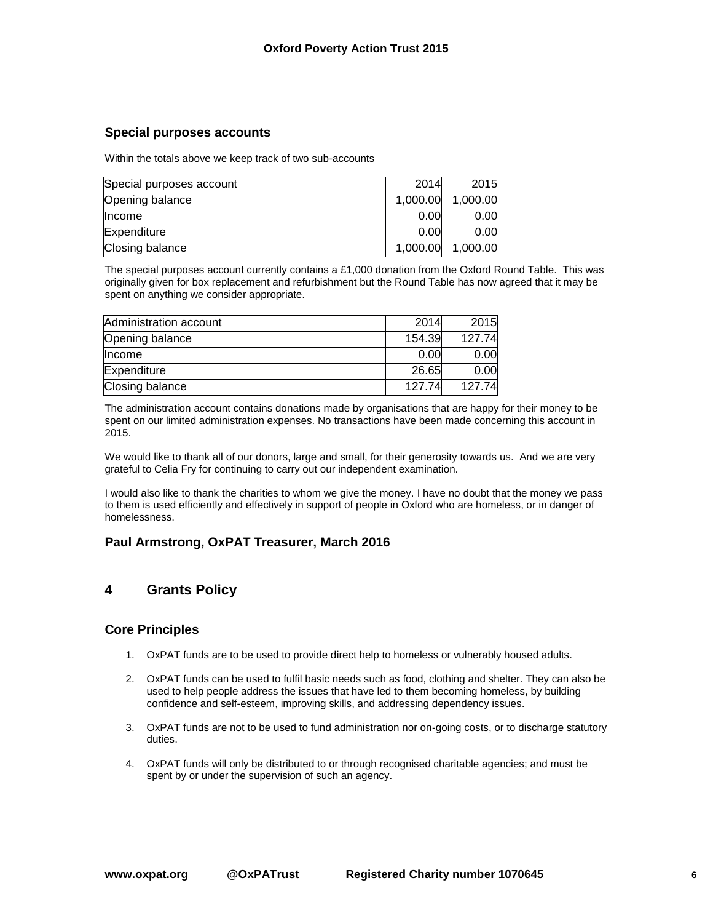#### **Special purposes accounts**

Within the totals above we keep track of two sub-accounts

| Special purposes account | 2014     | 2015              |
|--------------------------|----------|-------------------|
| Opening balance          | 1,000.00 | 1,000.00          |
| <b>Income</b>            | 0.00     | 0.00 <sub>l</sub> |
| Expenditure              | 0.00     | 0.00              |
| Closing balance          | 1,000.00 | 1,000.00          |

The special purposes account currently contains a £1,000 donation from the Oxford Round Table. This was originally given for box replacement and refurbishment but the Round Table has now agreed that it may be spent on anything we consider appropriate.

| Administration account | 2014   | 2015   |
|------------------------|--------|--------|
| Opening balance        | 154.39 | 127.74 |
| Income                 | 0.00   | 0.00   |
| Expenditure            | 26.65  | 0.00   |
| Closing balance        | 127.74 | 127.74 |

The administration account contains donations made by organisations that are happy for their money to be spent on our limited administration expenses. No transactions have been made concerning this account in 2015.

We would like to thank all of our donors, large and small, for their generosity towards us. And we are very grateful to Celia Fry for continuing to carry out our independent examination.

I would also like to thank the charities to whom we give the money. I have no doubt that the money we pass to them is used efficiently and effectively in support of people in Oxford who are homeless, or in danger of homelessness.

#### **Paul Armstrong, OxPAT Treasurer, March 2016**

# **4 Grants Policy**

#### **Core Principles**

- 1. OxPAT funds are to be used to provide direct help to homeless or vulnerably housed adults.
- 2. OxPAT funds can be used to fulfil basic needs such as food, clothing and shelter. They can also be used to help people address the issues that have led to them becoming homeless, by building confidence and self-esteem, improving skills, and addressing dependency issues.
- 3. OxPAT funds are not to be used to fund administration nor on-going costs, or to discharge statutory duties.
- 4. OxPAT funds will only be distributed to or through recognised charitable agencies; and must be spent by or under the supervision of such an agency.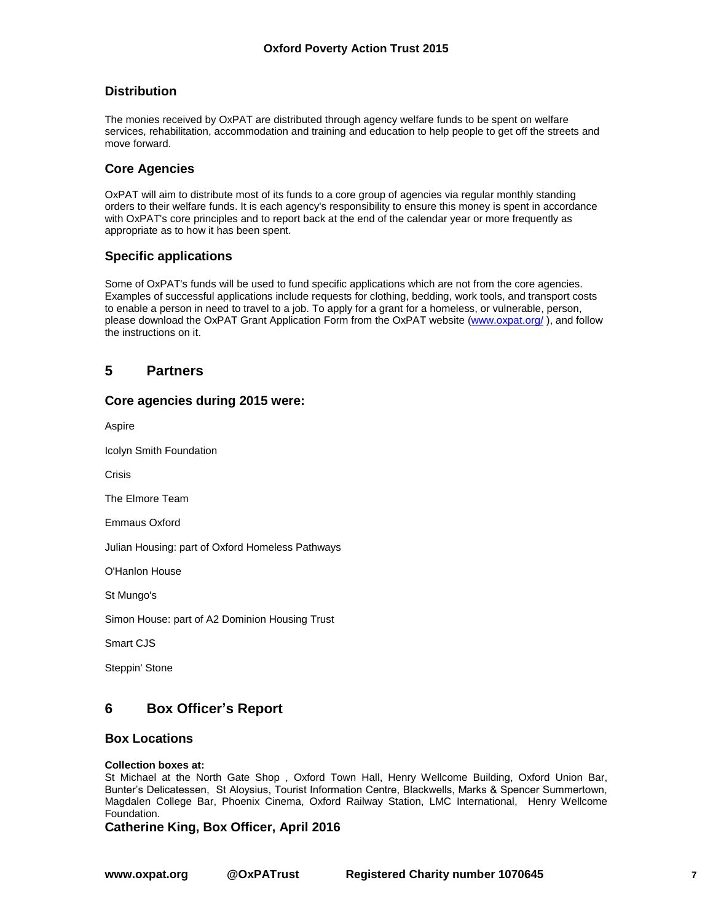### **Distribution**

The monies received by OxPAT are distributed through agency welfare funds to be spent on welfare services, rehabilitation, accommodation and training and education to help people to get off the streets and move forward.

#### **Core Agencies**

OxPAT will aim to distribute most of its funds to a core group of agencies via regular monthly standing orders to their welfare funds. It is each agency's responsibility to ensure this money is spent in accordance with OxPAT's core principles and to report back at the end of the calendar year or more frequently as appropriate as to how it has been spent.

#### **Specific applications**

Some of OxPAT's funds will be used to fund specific applications which are not from the core agencies. Examples of successful applications include requests for clothing, bedding, work tools, and transport costs to enable a person in need to travel to a job. To apply for a grant for a homeless, or vulnerable, person, please download the OxPAT Grant Application Form from the OxPAT website [\(www.oxpat.org/](http://www.oxpat.org/)), and follow the instructions on it.

# **5 Partners**

#### **Core agencies during 2015 were:**

Aspire

Icolyn Smith Foundation

Crisis

The Elmore Team

Emmaus Oxford

Julian Housing: part of Oxford Homeless Pathways

O'Hanlon House

St Mungo's

Simon House: part of A2 Dominion Housing Trust

Smart CJS

Steppin' Stone

## **6 Box Officer's Report**

#### **Box Locations**

#### **Collection boxes at:**

St Michael at the North Gate Shop , Oxford Town Hall, Henry Wellcome Building, Oxford Union Bar, Bunter's Delicatessen, St Aloysius, Tourist Information Centre, Blackwells, Marks & Spencer Summertown, Magdalen College Bar, Phoenix Cinema, Oxford Railway Station, LMC International, Henry Wellcome Foundation.

**Catherine King, Box Officer, April 2016**